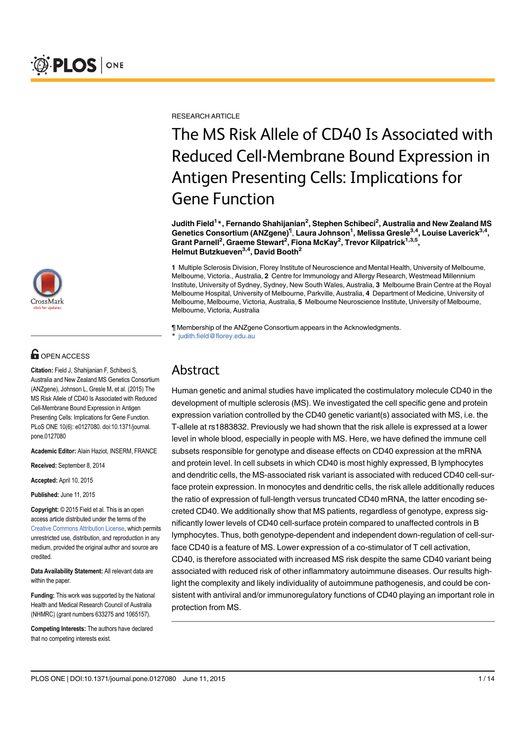

# **G** OPEN ACCESS

Citation: Field J, Shahijanian F, Schibeci S, Australia and New Zealand MS Genetics Consortium (ANZgene), Johnson L, Gresle M, et al. (2015) The MS Risk Allele of CD40 Is Associated with Reduced Cell-Membrane Bound Expression in Antigen Presenting Cells: Implications for Gene Function. PLoS ONE 10(6): e0127080. doi:10.1371/journal. pone.0127080

Academic Editor: Alain Haziot, INSERM, FRANCE

Received: September 8, 2014

Accepted: April 10, 2015

Published: June 11, 2015

Copyright: © 2015 Field et al. This is an open access article distributed under the terms of the Creative Commons Attribution License, which permits unrestricted use, distribution, and reproduction in any medium, provided the original author and source are credited.

Data Availability Statement: All relevant data are within the paper.

Funding: This work was supported by the National Health and Medical Research Council of Australia (NHMRC) (grant numbers 633275 and 1065157).

Competing Interests: The authors have declared that no competing interests exist.

**RESEARCH ARTICLE** 

# The MS Risk Allele of CD40 Is Associated with Reduced Cell-Membrane Bound Expression in Antigen Presenting Cells: Implications for Gene Function

Judith Field<sup>1</sup>\*, Fernando Shahijanian<sup>2</sup>, Stephen Schibeci<sup>2</sup>, Australia and New Zealand MS Genetics Consortium (ANZgene)<sup>¶</sup>, Laura Johnson<sup>1</sup>, Melissa Gresle<sup>3,4</sup>, Louise Laverick<sup>3,4</sup>, Grant Parnell<sup>2</sup>, Graeme Stewart<sup>2</sup>, Fiona McKay<sup>2</sup>, Trevor Kilpatrick<sup>1,3,5</sup>, Helmut Butzkueven<sup>3,4</sup>, David Booth<sup>2</sup>

1 Multiple Sclerosis Division, Florey Institute of Neuroscience and Mental Health, University of Melbourne, Melbourne, Victoria., Australia, 2 Centre for Immunology and Allergy Research, Westmead Millennium Institute, University of Sydney, Sydney, New South Wales, Australia, 3 Melbourne Brain Centre at the Royal Melbourne Hospital, University of Melbourne, Parkville, Australia, 4 Department of Medicine, University of Melbourne, Melbourne, Victoria, Australia, 5 Melbourne Neuroscience Institute, University of Melbourne, Melbourne, Victoria, Australia

¶ Membership of the ANZgene Consortium appears in the Acknowledgments. judith.field@florey.edu.au

# Abstract

Human genetic and animal studies have implicated the costimulatory molecule CD40 in the development of multiple sclerosis (MS). We investigated the cell specific gene and protein expression variation controlled by the CD40 genetic variant(s) associated with MS, i.e. the T-allele at rs1883832. Previously we had shown that the risk allele is expressed at a lower level in whole blood, especially in people with MS. Here, we have defined the immune cell subsets responsible for genotype and disease effects on CD40 expression at the mRNA and protein level. In cell subsets in which CD40 is most highly expressed, B lymphocytes and dendritic cells, the MS-associated risk variant is associated with reduced CD40 cell-surface protein expression. In monocytes and dendritic cells, the risk allele additionally reduces the ratio of expression of full-length versus truncated CD40 mRNA, the latter encoding secreted CD40. We additionally show that MS patients, regardless of genotype, express significantly lower levels of CD40 cell-surface protein compared to unaffected controls in B lymphocytes. Thus, both genotype-dependent and independent down-regulation of cell-surface CD40 is a feature of MS. Lower expression of a co-stimulator of T cell activation, CD40, is therefore associated with increased MS risk despite the same CD40 variant being associated with reduced risk of other inflammatory autoimmune diseases. Our results highlight the complexity and likely individuality of autoimmune pathogenesis, and could be consistent with antiviral and/or immunoregulatory functions of CD40 playing an important role in protection from MS.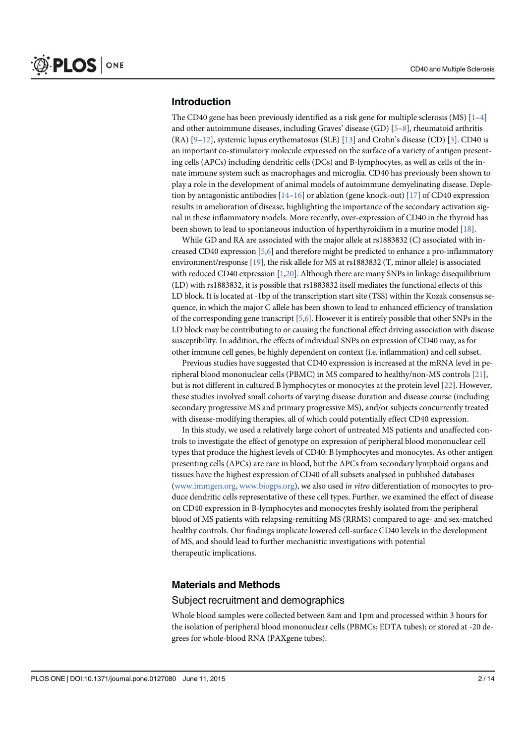#### Introduction

The CD40 gene has been previously identified as a risk gene for multiple sclerosis (MS)  $[1-4]$ and other autoimmune diseases, including Graves' disease (GD) [5–8], rheumatoid arthritis (RA)  $[9-12]$ , systemic lupus erythematosus (SLE)  $[13]$  and Crohn's disease (CD)  $[3]$ . CD40 is an important co-stimulatory molecule expressed on the surface of a variety of antigen presenting cells (APCs) including dendritic cells (DCs) and B-lymphocytes, as well as cells of the innate immune system such as macrophages and microglia. CD40 has previously been shown to play a role in the development of animal models of autoimmune demyelinating disease. Depletion by antagonistic antibodies  $[14–16]$  or ablation (gene knock-out)  $[17]$  of CD40 expression results in amelioration of disease, highlighting the importance of the secondary activation signal in these inflammatory models. More recently, over-expression of CD40 in the thyroid has been shown to lead to spontaneous induction of hyperthyroidism in a murine model [18].

While GD and RA are associated with the major allele at rs1883832 (C) associated with increased CD40 expression [5,6] and therefore might be predicted to enhance a pro-inflammatory environment/response [19], the risk allele for MS at rs1883832 (T, minor allele) is associated with reduced CD40 expression [1,20]. Although there are many SNPs in linkage disequilibrium (LD) with rs1883832, it is possible that rs1883832 itself mediates the functional effects of this LD block. It is located at -1bp of the transcription start site (TSS) within the Kozak consensus sequence, in which the major C allele has been shown to lead to enhanced efficiency of translation of the corresponding gene transcript  $[5,6]$ . However it is entirely possible that other SNPs in the LD block may be contributing to or causing the functional effect driving association with disease susceptibility. In addition, the effects of individual SNPs on expression of CD40 may, as for other immune cell genes, be highly dependent on context (i.e. inflammation) and cell subset.

Previous studies have suggested that CD40 expression is increased at the mRNA level in peripheral blood mononuclear cells (PBMC) in MS compared to healthy/non-MS controls [21], but is not different in cultured B lymphocytes or monocytes at the protein level [22]. However, these studies involved small cohorts of varying disease duration and disease course (including secondary progressive MS and primary progressive MS), and/or subjects concurrently treated with disease-modifying therapies, all of which could potentially effect CD40 expression.

In this study, we used a relatively large cohort of untreated MS patients and unaffected controls to investigate the effect of genotype on expression of peripheral blood mononuclear cell types that produce the highest levels of CD40: B lymphocytes and monocytes. As other antigen presenting cells (APCs) are rare in blood, but the APCs from secondary lymphoid organs and tissues have the highest expression of CD40 of all subsets analysed in published databases (www.immgen.org, www.biogps.org), we also used in vitro differentiation of monocytes to produce dendritic cells representative of these cell types. Further, we examined the effect of disease on CD40 expression in B-lymphocytes and monocytes freshly isolated from the peripheral blood of MS patients with relapsing-remitting MS (RRMS) compared to age- and sex-matched healthy controls. Our findings implicate lowered cell-surface CD40 levels in the development of MS, and should lead to further mechanistic investigations with potential therapeutic implications.

#### Materials and Methods

#### Subject recruitment and demographics

Whole blood samples were collected between 8am and 1pm and processed within 3 hours for the isolation of peripheral blood mononuclear cells (PBMCs; EDTA tubes); or stored at -20 degrees for whole-blood RNA (PAXgene tubes).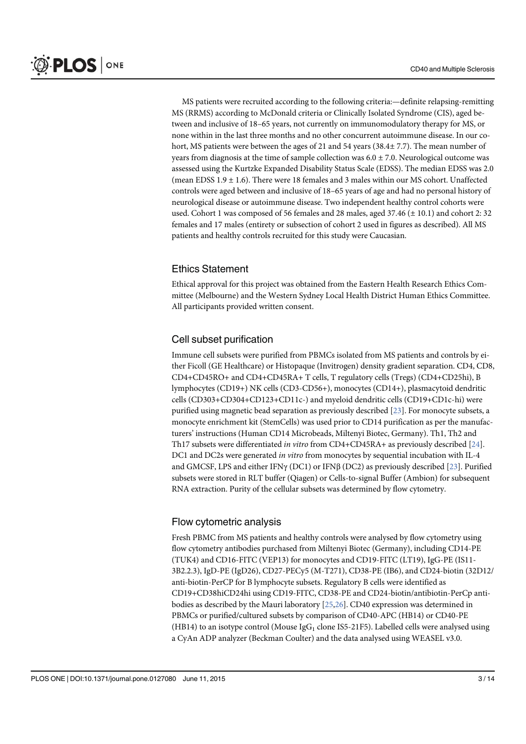MS patients were recruited according to the following criteria:—definite relapsing-remitting MS (RRMS) according to McDonald criteria or Clinically Isolated Syndrome (CIS), aged between and inclusive of 18–65 years, not currently on immunomodulatory therapy for MS, or none within in the last three months and no other concurrent autoimmune disease. In our cohort, MS patients were between the ages of 21 and 54 years (38.4± 7.7). The mean number of years from diagnosis at the time of sample collection was  $6.0 \pm 7.0$ . Neurological outcome was assessed using the Kurtzke Expanded Disability Status Scale (EDSS). The median EDSS was 2.0 (mean EDSS 1.9  $\pm$  1.6). There were 18 females and 3 males within our MS cohort. Unaffected controls were aged between and inclusive of 18–65 years of age and had no personal history of neurological disease or autoimmune disease. Two independent healthy control cohorts were used. Cohort 1 was composed of 56 females and 28 males, aged 37.46 (± 10.1) and cohort 2: 32 females and 17 males (entirety or subsection of cohort 2 used in figures as described). All MS patients and healthy controls recruited for this study were Caucasian.

# Ethics Statement

Ethical approval for this project was obtained from the Eastern Health Research Ethics Committee (Melbourne) and the Western Sydney Local Health District Human Ethics Committee. All participants provided written consent.

# Cell subset purification

Immune cell subsets were purified from PBMCs isolated from MS patients and controls by either Ficoll (GE Healthcare) or Histopaque (Invitrogen) density gradient separation. CD4, CD8, CD4+CD45RO+ and CD4+CD45RA+ T cells, T regulatory cells (Tregs) (CD4+CD25hi), B lymphocytes (CD19+) NK cells (CD3-CD56+), monocytes (CD14+), plasmacytoid dendritic cells (CD303+CD304+CD123+CD11c-) and myeloid dendritic cells (CD19+CD1c-hi) were purified using magnetic bead separation as previously described [23]. For monocyte subsets, a monocyte enrichment kit (StemCells) was used prior to CD14 purification as per the manufacturers' instructions (Human CD14 Microbeads, Miltenyi Biotec, Germany). Th1, Th2 and Th17 subsets were differentiated in vitro from CD4+CD45RA+ as previously described [24]. DC1 and DC2s were generated in vitro from monocytes by sequential incubation with IL-4 and GMCSF, LPS and either IFN $\gamma$  (DC1) or IFN $\beta$  (DC2) as previously described [23]. Purified subsets were stored in RLT buffer (Qiagen) or Cells-to-signal Buffer (Ambion) for subsequent RNA extraction. Purity of the cellular subsets was determined by flow cytometry.

#### Flow cytometric analysis

Fresh PBMC from MS patients and healthy controls were analysed by flow cytometry using flow cytometry antibodies purchased from Miltenyi Biotec (Germany), including CD14-PE (TUK4) and CD16-FITC (VEP13) for monocytes and CD19-FITC (LT19), IgG-PE (IS11- 3B2.2.3), IgD-PE (IgD26), CD27-PECy5 (M-T271), CD38-PE (IB6), and CD24-biotin (32D12/ anti-biotin-PerCP for B lymphocyte subsets. Regulatory B cells were identified as CD19+CD38hiCD24hi using CD19-FITC, CD38-PE and CD24-biotin/antibiotin-PerCp antibodies as described by the Mauri laboratory [25,26]. CD40 expression was determined in PBMCs or purified/cultured subsets by comparison of CD40-APC (HB14) or CD40-PE (HB14) to an isotype control (Mouse  $\lg G_1$  clone IS5-21F5). Labelled cells were analysed using a CyAn ADP analyzer (Beckman Coulter) and the data analysed using WEASEL v3.0.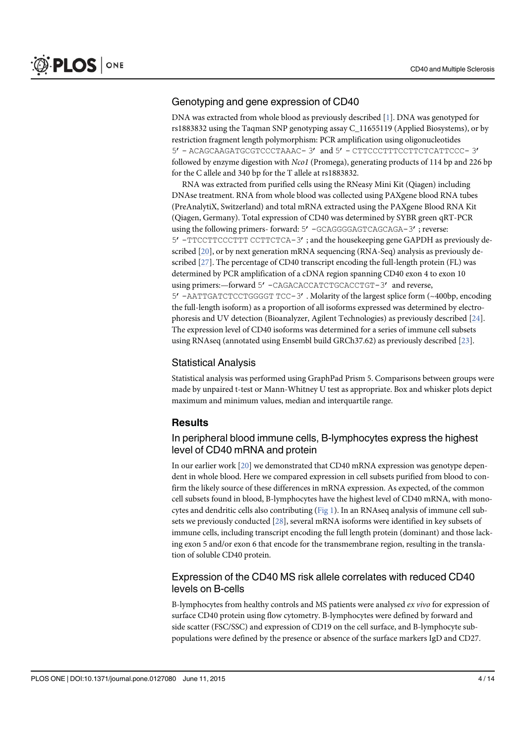#### Genotyping and gene expression of CD40

DNA was extracted from whole blood as previously described [1]. DNA was genotyped for rs1883832 using the Taqman SNP genotyping assay C\_11655119 (Applied Biosystems), or by restriction fragment length polymorphism: PCR amplification using oligonucleotides 5'- ACAGCAAGATGCGTCCCTAAAC- 3' and 5'- CTTCCCTTTCCTTCTCATTCCC- 3' followed by enzyme digestion with Nco1 (Promega), generating products of 114 bp and 226 bp for the C allele and 340 bp for the T allele at rs1883832.

RNA was extracted from purified cells using the RNeasy Mini Kit (Qiagen) including DNAse treatment. RNA from whole blood was collected using PAXgene blood RNA tubes (PreAnalytiX, Switzerland) and total mRNA extracted using the PAXgene Blood RNA Kit (Qiagen, Germany). Total expression of CD40 was determined by SYBR green qRT-PCR using the following primers- forward: 5' -GCAGGGGAGTCAGCAGA-3'; reverse: 5'-TTCCTTCCCTTT CCTTCTCA-3'; and the housekeeping gene GAPDH as previously described [20], or by next generation mRNA sequencing (RNA-Seq) analysis as previously described [27]. The percentage of CD40 transcript encoding the full-length protein (FL) was determined by PCR amplification of a cDNA region spanning CD40 exon 4 to exon 10 using primers:-forward 5' -CAGACACCATCTGCACCTGT-3' and reverse, 5'-AATTGATCTCCTGGGGT TCC-3'. Molarity of the largest splice form (~400bp, encoding the full-length isoform) as a proportion of all isoforms expressed was determined by electrophoresis and UV detection (Bioanalyzer, Agilent Technologies) as previously described [24]. The expression level of CD40 isoforms was determined for a series of immune cell subsets using RNAseq (annotated using Ensembl build GRCh37.62) as previously described [23].

#### Statistical Analysis

Statistical analysis was performed using GraphPad Prism 5. Comparisons between groups were made by unpaired t-test or Mann-Whitney U test as appropriate. Box and whisker plots depict maximum and minimum values, median and interquartile range.

#### **Results**

#### In peripheral blood immune cells, B-lymphocytes express the highest level of CD40 mRNA and protein

In our earlier work [20] we demonstrated that CD40 mRNA expression was genotype dependent in whole blood. Here we compared expression in cell subsets purified from blood to confirm the likely source of these differences in mRNA expression. As expected, of the common cell subsets found in blood, B-lymphocytes have the highest level of CD40 mRNA, with monocytes and dendritic cells also contributing (Fig 1). In an RNAseq analysis of immune cell subsets we previously conducted [28], several mRNA isoforms were identified in key subsets of immune cells, including transcript encoding the full length protein (dominant) and those lacking exon 5 and/or exon 6 that encode for the transmembrane region, resulting in the translation of soluble CD40 protein.

# Expression of the CD40 MS risk allele correlates with reduced CD40 levels on B-cells

B-lymphocytes from healthy controls and MS patients were analysed ex vivo for expression of surface CD40 protein using flow cytometry. B-lymphocytes were defined by forward and side scatter (FSC/SSC) and expression of CD19 on the cell surface, and B-lymphocyte subpopulations were defined by the presence or absence of the surface markers IgD and CD27.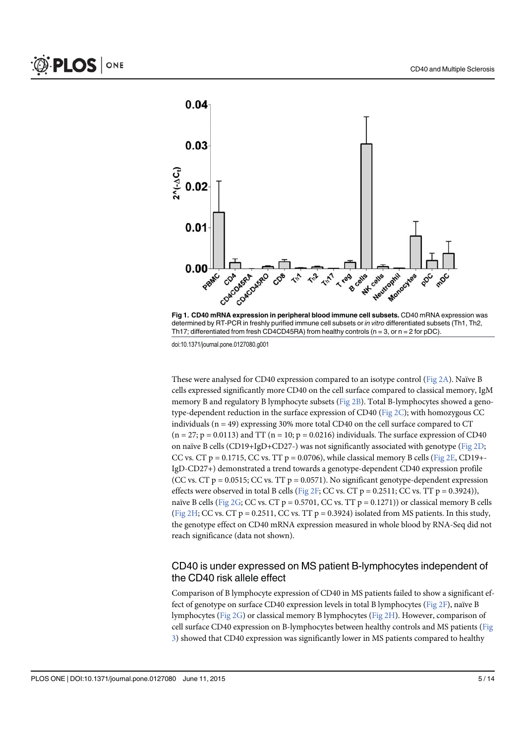



These were analysed for CD40 expression compared to an isotype control ( $Fig 2A$ ). Naïve B cells expressed significantly more CD40 on the cell surface compared to classical memory, IgM memory B and regulatory B lymphocyte subsets (Fig 2B). Total B-lymphocytes showed a genotype-dependent reduction in the surface expression of CD40 (Fig 2C); with homozygous CC individuals ( $n = 49$ ) expressing 30% more total CD40 on the cell surface compared to CT  $(n = 27; p = 0.0113)$  and TT  $(n = 10; p = 0.0216)$  individuals. The surface expression of CD40 on naïve B cells (CD19+IgD+CD27-) was not significantly associated with genotype ( $Fig 2D$ ; CC vs. CT p = 0.1715, CC vs. TT p = 0.0706), while classical memory B cells ( $Fig 2E$ , CD19+-IgD-CD27+) demonstrated a trend towards a genotype-dependent CD40 expression profile (CC vs. CT  $p = 0.0515$ ; CC vs. TT  $p = 0.0571$ ). No significant genotype-dependent expression effects were observed in total B cells (Fig 2F; CC vs. CT  $p = 0.2511$ ; CC vs. TT  $p = 0.3924$ )), naïve B cells (Fig 2G; CC vs. CT  $p = 0.5701$ , CC vs. TT  $p = 0.1271$ ) or classical memory B cells (Fig 2H; CC vs. CT p = 0.2511, CC vs. TT p = 0.3924) isolated from MS patients. In this study, the genotype effect on CD40 mRNA expression measured in whole blood by RNA-Seq did not reach significance (data not shown).

#### CD40 is under expressed on MS patient B-lymphocytes independent of the CD40 risk allele effect

Comparison of B lymphocyte expression of CD40 in MS patients failed to show a significant effect of genotype on surface CD40 expression levels in total B lymphocytes (Fig 2F), naïve B lymphocytes (Fig 2G) or classical memory B lymphocytes (Fig 2H). However, comparison of cell surface CD40 expression on B-lymphocytes between healthy controls and MS patients (Fig 3) showed that CD40 expression was significantly lower in MS patients compared to healthy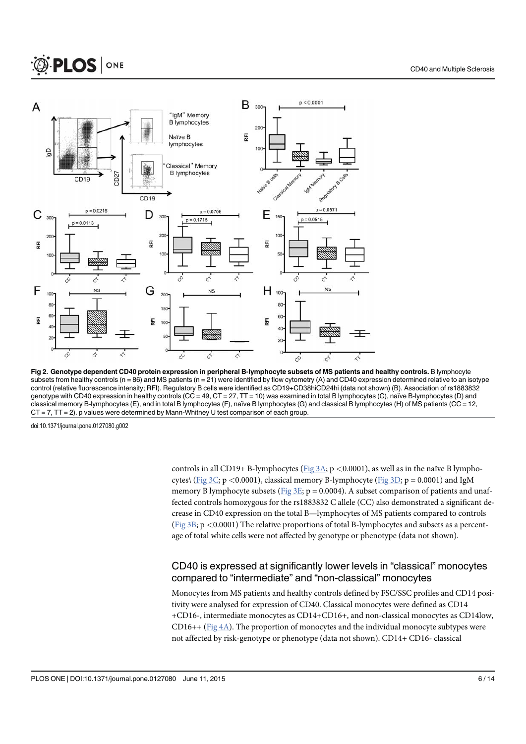

Fig 2. Genotype dependent CD40 protein expression in peripheral B-lymphocyte subsets of MS patients and healthy controls. B lymphocyte subsets from healthy controls (n = 86) and MS patients (n = 21) were identified by flow cytometry (A) and CD40 expression determined relative to an isotype control (relative fluorescence intensity; RFI). Regulatory B cells were identified as CD19+CD38hiCD24hi (data not shown) (B). Association of rs1883832 genotype with CD40 expression in healthy controls (CC = 49, CT = 27, TT = 10) was examined in total B lymphocytes (C), naïve B-lymphocytes (D) and classical memory B-lymphocytes (E), and in total B lymphocytes (F), naïve B lymphocytes (G) and classical B lymphocytes (H) of MS patients (CC = 12, CT = 7, TT = 2). p values were determined by Mann-Whitney U test comparison of each group.

controls in all CD19+ B-lymphocytes ( $Fig 3A$ ; p <0.0001), as well as in the naïve B lymphocytes\ (Fig 3C; p <0.0001), classical memory B-lymphocyte (Fig 3D; p = 0.0001) and IgM memory B lymphocyte subsets (Fig  $3E$ ; p = 0.0004). A subset comparison of patients and unaffected controls homozygous for the rs1883832 C allele (CC) also demonstrated a significant decrease in CD40 expression on the total B—lymphocytes of MS patients compared to controls (Fig  $3B$ ; p <0.0001) The relative proportions of total B-lymphocytes and subsets as a percentage of total white cells were not affected by genotype or phenotype (data not shown).

# CD40 is expressed at significantly lower levels in "classical" monocytes compared to "intermediate" and "non-classical" monocytes

Monocytes from MS patients and healthy controls defined by FSC/SSC profiles and CD14 positivity were analysed for expression of CD40. Classical monocytes were defined as CD14 +CD16-, intermediate monocytes as CD14+CD16+, and non-classical monocytes as CD14low, CD16++ (Fig 4A). The proportion of monocytes and the individual monocyte subtypes were not affected by risk-genotype or phenotype (data not shown). CD14+ CD16- classical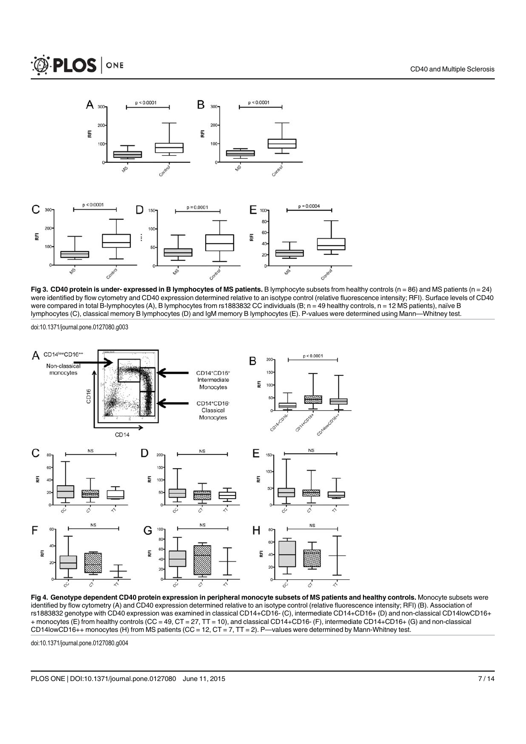





Fig 3. CD40 protein is under- expressed in B lymphocytes of MS patients. B lymphocyte subsets from healthy controls (n = 86) and MS patients (n = 24) were identified by flow cytometry and CD40 expression determined relative to an isotype control (relative fluorescence intensity; RFI). Surface levels of CD40 were compared in total B-lymphocytes (A), B lymphocytes from rs1883832 CC individuals (B; n = 49 healthy controls, n = 12 MS patients), naïve B lymphocytes (C), classical memory B lymphocytes (D) and IgM memory B lymphocytes (E). P-values were determined using Mann—Whitney test.



Fig 4. Genotype dependent CD40 protein expression in peripheral monocyte subsets of MS patients and healthy controls. Monocyte subsets were identified by flow cytometry (A) and CD40 expression determined relative to an isotype control (relative fluorescence intensity; RFI) (B). Association of rs1883832 genotype with CD40 expression was examined in classical CD14+CD16- (C), intermediate CD14+CD16+ (D) and non-classical CD14lowCD16+ + monocytes (E) from healthy controls (CC = 49, CT = 27, TT = 10), and classical CD14+CD16- (F), intermediate CD14+CD16+ (G) and non-classical CD14lowCD16++ monocytes (H) from MS patients (CC = 12, CT = 7, TT = 2). P—values were determined by Mann-Whitney test.

doi:10.1371/journal.pone.0127080.g004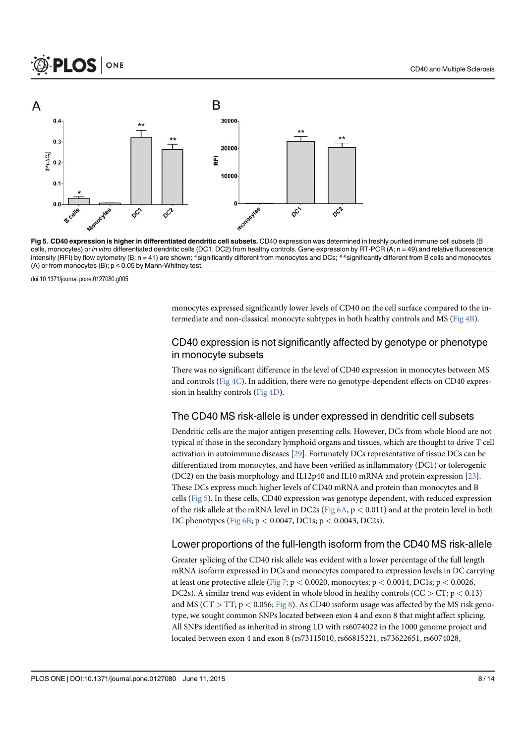

Fig 5. CD40 expression is higher in differentiated dendritic cell subsets. CD40 expression was determined in freshly purified immune cell subsets (B cells, monocytes) or in vitro differentiated dendritic cells (DC1, DC2) from healthy controls. Gene expression by RT-PCR (A; n = 49) and relative fluorescence intensity (RFI) by flow cytometry (B; n = 41) are shown; \*significantly different from monocytes and DCs; \*\*significantly different from B cells and monocytes (A) or from monocytes (B); p < 0.05 by Mann-Whitney test.

monocytes expressed significantly lower levels of CD40 on the cell surface compared to the intermediate and non-classical monocyte subtypes in both healthy controls and MS (Fig 4B).

#### CD40 expression is not significantly affected by genotype or phenotype in monocyte subsets

There was no significant difference in the level of CD40 expression in monocytes between MS and controls (Fig  $4C$ ). In addition, there were no genotype-dependent effects on CD40 expression in healthy controls (Fig 4D).

#### The CD40 MS risk-allele is under expressed in dendritic cell subsets

Dendritic cells are the major antigen presenting cells. However, DCs from whole blood are not typical of those in the secondary lymphoid organs and tissues, which are thought to drive T cell activation in autoimmune diseases [29]. Fortunately DCs representative of tissue DCs can be differentiated from monocytes, and have been verified as inflammatory (DC1) or tolerogenic (DC2) on the basis morphology and IL12p40 and IL10 mRNA and protein expression  $[23]$ . These DCs express much higher levels of CD40 mRNA and protein than monocytes and B cells (Fig 5). In these cells, CD40 expression was genotype dependent, with reduced expression of the risk allele at the mRNA level in DC2s (Fig  $6A$ ,  $p < 0.011$ ) and at the protein level in both DC phenotypes (Fig 6B; p < 0.0047, DC1s; p < 0.0043, DC2s).

#### Lower proportions of the full-length isoform from the CD40 MS risk-allele

Greater splicing of the CD40 risk allele was evident with a lower percentage of the full length mRNA isoform expressed in DCs and monocytes compared to expression levels in DC carrying at least one protective allele (Fig 7;  $p < 0.0020$ , monocytes;  $p < 0.0014$ , DC1s;  $p < 0.0026$ , DC2s). A similar trend was evident in whole blood in healthy controls (CC > CT; p < 0.13) and MS ( $CT > TT$ ;  $p < 0.056$ ; Fig 8). As CD40 isoform usage was affected by the MS risk genotype, we sought common SNPs located between exon 4 and exon 8 that might affect splicing. All SNPs identified as inherited in strong LD with rs6074022 in the 1000 genome project and located between exon 4 and exon 8 (rs73115010, rs66815221, rs73622651, rs6074028,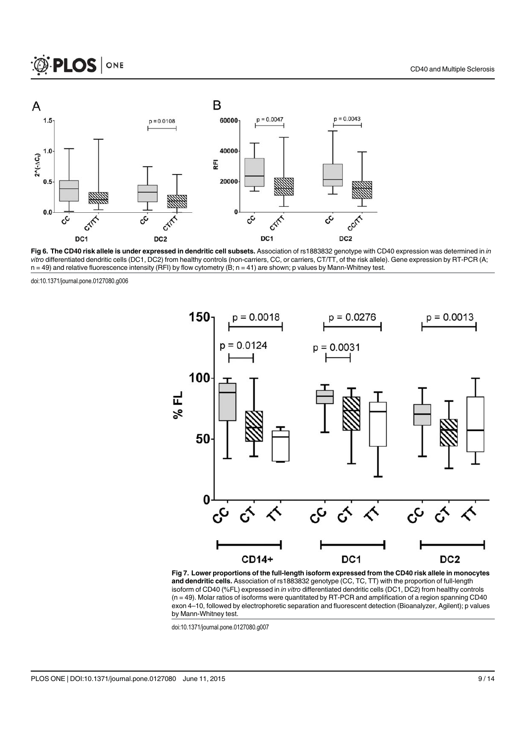

Fig 6. The CD40 risk allele is under expressed in dendritic cell subsets. Association of rs1883832 genotype with CD40 expression was determined in in vitro differentiated dendritic cells (DC1, DC2) from healthy controls (non-carriers, CC, or carriers, CT/TT, of the risk allele). Gene expression by RT-PCR (A;  $n = 49$ ) and relative fluorescence intensity (RFI) by flow cytometry (B;  $n = 41$ ) are shown; p values by Mann-Whitney test.



Fig 7. Lower proportions of the full-length isoform expressed from the CD40 risk allele in monocytes and dendritic cells. Association of rs1883832 genotype (CC, TC, TT) with the proportion of full-length isoform of CD40 (%FL) expressed in in vitro differentiated dendritic cells (DC1, DC2) from healthy controls  $(n = 49)$ . Molar ratios of isoforms were quantitated by RT-PCR and amplification of a region spanning CD40 exon 4–10, followed by electrophoretic separation and fluorescent detection (Bioanalyzer, Agilent); p values by Mann-Whitney test.

doi:10.1371/journal.pone.0127080.g007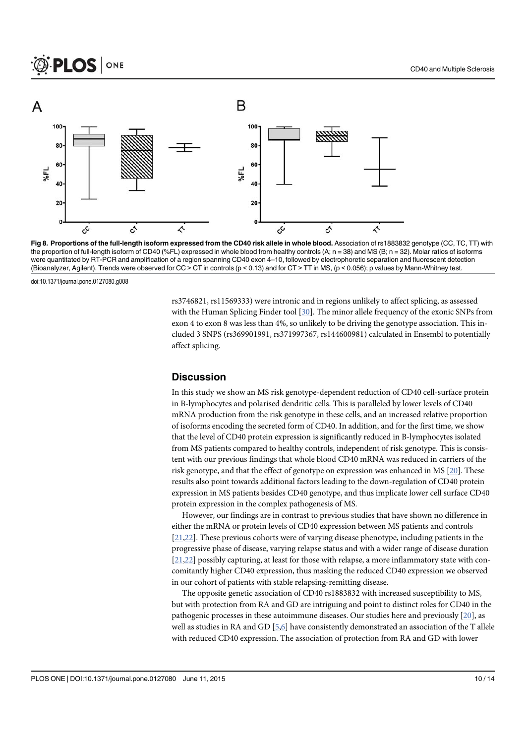

Fig 8. Proportions of the full-length isoform expressed from the CD40 risk allele in whole blood. Association of rs1883832 genotype (CC, TC, TT) with the proportion of full-length isoform of CD40 (%FL) expressed in whole blood from healthy controls (A; n = 38) and MS (B; n = 32). Molar ratios of isoforms were quantitated by RT-PCR and amplification of a region spanning CD40 exon 4–10, followed by electrophoretic separation and fluorescent detection (Bioanalyzer, Agilent). Trends were observed for CC > CT in controls (p < 0.13) and for CT > TT in MS, (p < 0.056); p values by Mann-Whitney test.

rs3746821, rs11569333) were intronic and in regions unlikely to affect splicing, as assessed with the Human Splicing Finder tool [30]. The minor allele frequency of the exonic SNPs from exon 4 to exon 8 was less than 4%, so unlikely to be driving the genotype association. This included 3 SNPS (rs369901991, rs371997367, rs144600981) calculated in Ensembl to potentially affect splicing.

#### **Discussion**

In this study we show an MS risk genotype-dependent reduction of CD40 cell-surface protein in B-lymphocytes and polarised dendritic cells. This is paralleled by lower levels of CD40 mRNA production from the risk genotype in these cells, and an increased relative proportion of isoforms encoding the secreted form of CD40. In addition, and for the first time, we show that the level of CD40 protein expression is significantly reduced in B-lymphocytes isolated from MS patients compared to healthy controls, independent of risk genotype. This is consistent with our previous findings that whole blood CD40 mRNA was reduced in carriers of the risk genotype, and that the effect of genotype on expression was enhanced in MS [20]. These results also point towards additional factors leading to the down-regulation of CD40 protein expression in MS patients besides CD40 genotype, and thus implicate lower cell surface CD40 protein expression in the complex pathogenesis of MS.

However, our findings are in contrast to previous studies that have shown no difference in either the mRNA or protein levels of CD40 expression between MS patients and controls [21,22]. These previous cohorts were of varying disease phenotype, including patients in the progressive phase of disease, varying relapse status and with a wider range of disease duration [21,22] possibly capturing, at least for those with relapse, a more inflammatory state with concomitantly higher CD40 expression, thus masking the reduced CD40 expression we observed in our cohort of patients with stable relapsing-remitting disease.

The opposite genetic association of CD40 rs1883832 with increased susceptibility to MS, but with protection from RA and GD are intriguing and point to distinct roles for CD40 in the pathogenic processes in these autoimmune diseases. Our studies here and previously [20], as well as studies in RA and GD [5,6] have consistently demonstrated an association of the T allele with reduced CD40 expression. The association of protection from RA and GD with lower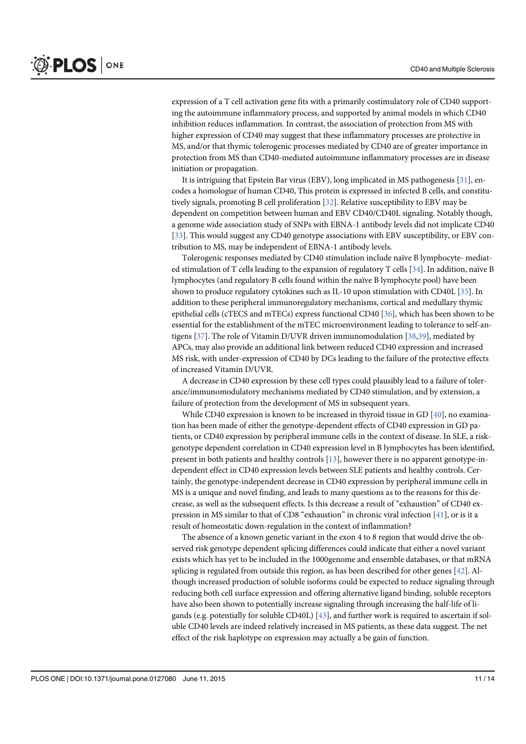expression of a T cell activation gene fits with a primarily costimulatory role of CD40 supporting the autoimmune inflammatory process, and supported by animal models in which CD40 inhibition reduces inflammation. In contrast, the association of protection from MS with higher expression of CD40 may suggest that these inflammatory processes are protective in MS, and/or that thymic tolerogenic processes mediated by CD40 are of greater importance in protection from MS than CD40-mediated autoimmune inflammatory processes are in disease initiation or propagation.

It is intriguing that Epstein Bar virus (EBV), long implicated in MS pathogenesis [31], encodes a homologue of human CD40, This protein is expressed in infected B cells, and constitutively signals, promoting B cell proliferation [32]. Relative susceptibility to EBV may be dependent on competition between human and EBV CD40/CD40L signaling. Notably though, a genome wide association study of SNPs with EBNA-1 antibody levels did not implicate CD40 [33]. This would suggest any CD40 genotype associations with EBV susceptibility, or EBV contribution to MS, may be independent of EBNA-1 antibody levels.

Tolerogenic responses mediated by CD40 stimulation include naïve B lymphocyte- mediated stimulation of T cells leading to the expansion of regulatory T cells [34]. In addition, naïve B lymphocytes (and regulatory B cells found within the naïve B lymphocyte pool) have been shown to produce regulatory cytokines such as IL-10 upon stimulation with CD40L [35]. In addition to these peripheral immunoregulatory mechanisms, cortical and medullary thymic epithelial cells (cTECS and mTECs) express functional CD40 [36], which has been shown to be essential for the establishment of the mTEC microenvironment leading to tolerance to self-antigens [37]. The role of Vitamin D/UVR driven immunomodulation [38,39], mediated by APCs, may also provide an additional link between reduced CD40 expression and increased MS risk, with under-expression of CD40 by DCs leading to the failure of the protective effects of increased Vitamin D/UVR.

A decrease in CD40 expression by these cell types could plausibly lead to a failure of tolerance/immunomodulatory mechanisms mediated by CD40 stimulation, and by extension, a failure of protection from the development of MS in subsequent years.

While CD40 expression is known to be increased in thyroid tissue in GD [40], no examination has been made of either the genotype-dependent effects of CD40 expression in GD patients, or CD40 expression by peripheral immune cells in the context of disease. In SLE, a riskgenotype dependent correlation in CD40 expression level in B lymphocytes has been identified, present in both patients and healthy controls [13], however there is no apparent genotype-independent effect in CD40 expression levels between SLE patients and healthy controls. Certainly, the genotype-independent decrease in CD40 expression by peripheral immune cells in MS is a unique and novel finding, and leads to many questions as to the reasons for this decrease, as well as the subsequent effects. Is this decrease a result of "exhaustion" of CD40 expression in MS similar to that of CD8 "exhaustion" in chronic viral infection [41], or is it a result of homeostatic down-regulation in the context of inflammation?

The absence of a known genetic variant in the exon 4 to 8 region that would drive the observed risk genotype dependent splicing differences could indicate that either a novel variant exists which has yet to be included in the 1000genome and ensemble databases, or that mRNA splicing is regulated from outside this region, as has been described for other genes  $[42]$ . Although increased production of soluble isoforms could be expected to reduce signaling through reducing both cell surface expression and offering alternative ligand binding, soluble receptors have also been shown to potentially increase signaling through increasing the half-life of ligands (e.g. potentially for soluble CD40L)  $[43]$ , and further work is required to ascertain if soluble CD40 levels are indeed relatively increased in MS patients, as these data suggest. The net effect of the risk haplotype on expression may actually a be gain of function.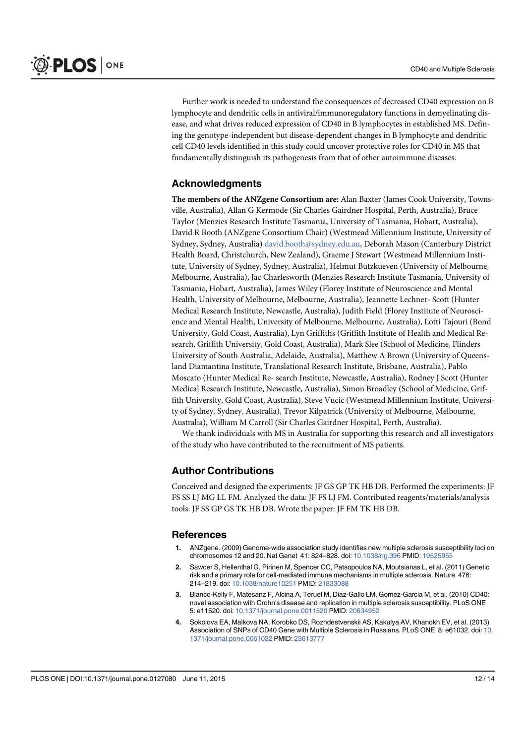Further work is needed to understand the consequences of decreased CD40 expression on B lymphocyte and dendritic cells in antiviral/immunoregulatory functions in demyelinating disease, and what drives reduced expression of CD40 in B lymphocytes in established MS. Defining the genotype-independent but disease-dependent changes in B lymphocyte and dendritic cell CD40 levels identified in this study could uncover protective roles for CD40 in MS that fundamentally distinguish its pathogenesis from that of other autoimmune diseases.

# Acknowledgments

The members of the ANZgene Consortium are: Alan Baxter (James Cook University, Townsville, Australia), Allan G Kermode (Sir Charles Gairdner Hospital, Perth, Australia), Bruce Taylor (Menzies Research Institute Tasmania, University of Tasmania, Hobart, Australia), David R Booth (ANZgene Consortium Chair) (Westmead Millennium Institute, University of Sydney, Sydney, Australia) david.booth@sydney.edu.au, Deborah Mason (Canterbury District Health Board, Christchurch, New Zealand), Graeme J Stewart (Westmead Millennium Institute, University of Sydney, Sydney, Australia), Helmut Butzkueven (University of Melbourne, Melbourne, Australia), Jac Charlesworth (Menzies Research Institute Tasmania, University of Tasmania, Hobart, Australia), James Wiley (Florey Institute of Neuroscience and Mental Health, University of Melbourne, Melbourne, Australia), Jeannette Lechner- Scott (Hunter Medical Research Institute, Newcastle, Australia), Judith Field (Florey Institute of Neuroscience and Mental Health, University of Melbourne, Melbourne, Australia), Lotti Tajouri (Bond University, Gold Coast, Australia), Lyn Griffiths (Griffith Institute of Health and Medical Research, Griffith University, Gold Coast, Australia), Mark Slee (School of Medicine, Flinders University of South Australia, Adelaide, Australia), Matthew A Brown (University of Queensland Diamantina Institute, Translational Research Institute, Brisbane, Australia), Pablo Moscato (Hunter Medical Re- search Institute, Newcastle, Australia), Rodney J Scott (Hunter Medical Research Institute, Newcastle, Australia), Simon Broadley (School of Medicine, Griffith University, Gold Coast, Australia), Steve Vucic (Westmead Millennium Institute, University of Sydney, Sydney, Australia), Trevor Kilpatrick (University of Melbourne, Melbourne, Australia), William M Carroll (Sir Charles Gairdner Hospital, Perth, Australia).

We thank individuals with MS in Australia for supporting this research and all investigators of the study who have contributed to the recruitment of MS patients.

# Author Contributions

Conceived and designed the experiments: JF GS GP TK HB DB. Performed the experiments: JF FS SS LJ MG LL FM. Analyzed the data: JF FS LJ FM. Contributed reagents/materials/analysis tools: JF SS GP GS TK HB DB. Wrote the paper: JF FM TK HB DB.

#### References

- 1. ANZgene. (2009) Genome-wide association study identifies new multiple sclerosis susceptibility loci on chromosomes 12 and 20. Nat Genet 41: 824–828. doi: 10.1038/ng.396 PMID: 19525955
- 2. Sawcer S, Hellenthal G, Pirinen M, Spencer CC, Patsopoulos NA, Moutsianas L, et al. (2011) Genetic risk and a primary role for cell-mediated immune mechanisms in multiple sclerosis. Nature 476: 214–219. doi: 10.1038/nature10251 PMID: 21833088
- 3. Blanco-Kelly F, Matesanz F, Alcina A, Teruel M, Diaz-Gallo LM, Gomez-Garcia M, et al. (2010) CD40: novel association with Crohn's disease and replication in multiple sclerosis susceptibility. PLoS ONE 5: e11520. doi: 10.1371/journal.pone.0011520 PMID: 20634952
- 4. Sokolova EA, Malkova NA, Korobko DS, Rozhdestvenskii AS, Kakulya AV, Khanokh EV, et al. (2013) Association of SNPs of CD40 Gene with Multiple Sclerosis in Russians. PLoS ONE 8: e61032. doi: 10. 1371/journal.pone.0061032 PMID: 23613777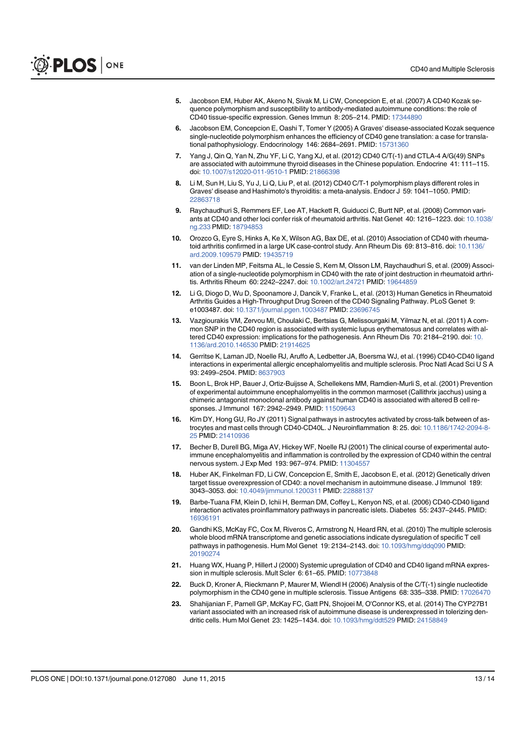- 5. Jacobson EM, Huber AK, Akeno N, Sivak M, Li CW, Concepcion E, et al. (2007) A CD40 Kozak sequence polymorphism and susceptibility to antibody-mediated autoimmune conditions: the role of CD40 tissue-specific expression. Genes Immun 8: 205–214. PMID: 17344890
- 6. Jacobson EM, Concepcion E, Oashi T, Tomer Y (2005) A Graves' disease-associated Kozak sequence single-nucleotide polymorphism enhances the efficiency of CD40 gene translation: a case for translational pathophysiology. Endocrinology 146: 2684-2691. PMID: 15731360
- Yang J, Qin Q, Yan N, Zhu YF, Li C, Yang XJ, et al. (2012) CD40 C/T(-1) and CTLA-4 A/G(49) SNPs are associated with autoimmune thyroid diseases in the Chinese population. Endocrine 41: 111–115. doi: 10.1007/s12020-011-9510-1 PMID: 21866398
- 8. Li M, Sun H, Liu S, Yu J, Li Q, Liu P, et al. (2012) CD40 C/T-1 polymorphism plays different roles in Graves' disease and Hashimoto's thyroiditis: a meta-analysis. Endocr J 59: 1041–1050. PMID: 22863718
- 9. Raychaudhuri S, Remmers EF, Lee AT, Hackett R, Guiducci C, Burtt NP, et al. (2008) Common variants at CD40 and other loci confer risk of rheumatoid arthritis. Nat Genet 40: 1216–1223. doi: 10.1038/ ng.233 PMID: 18794853
- 10. Orozco G, Eyre S, Hinks A, Ke X, Wilson AG, Bax DE, et al. (2010) Association of CD40 with rheumatoid arthritis confirmed in a large UK case-control study. Ann Rheum Dis 69: 813-816. doi: 10.1136/ ard.2009.109579 PMID: 19435719
- 11. van der Linden MP, Feitsma AL, le Cessie S, Kern M, Olsson LM, Raychaudhuri S, et al. (2009) Association of a single-nucleotide polymorphism in CD40 with the rate of joint destruction in rheumatoid arthritis. Arthritis Rheum 60: 2242–2247. doi: 10.1002/art.24721 PMID: 19644859
- 12. Li G, Diogo D, Wu D, Spoonamore J, Dancik V, Franke L, et al. (2013) Human Genetics in Rheumatoid Arthritis Guides a High-Throughput Drug Screen of the CD40 Signaling Pathway. PLoS Genet 9: e1003487. doi: 10.1371/journal.pgen.1003487 PMID: 23696745
- 13. Vazgiourakis VM, Zervou MI, Choulaki C, Bertsias G, Melissourgaki M, Yilmaz N, et al. (2011) A common SNP in the CD40 region is associated with systemic lupus erythematosus and correlates with altered CD40 expression: implications for the pathogenesis. Ann Rheum Dis 70: 2184–2190. doi: 10. 1136/ard.2010.146530 PMID: 21914625
- 14. Gerritse K, Laman JD, Noelle RJ, Aruffo A, Ledbetter JA, Boersma WJ, et al. (1996) CD40-CD40 ligand interactions in experimental allergic encephalomyelitis and multiple sclerosis. Proc Natl Acad Sci U S A 93: 2499–2504. PMID: 8637903
- 15. Boon L, Brok HP, Bauer J, Ortiz-Buijsse A, Schellekens MM, Ramdien-Murli S, et al. (2001) Prevention of experimental autoimmune encephalomyelitis in the common marmoset (Callithrix jacchus) using a chimeric antagonist monoclonal antibody against human CD40 is associated with altered B cell responses. J Immunol 167: 2942–2949. PMID: 11509643
- 16. Kim DY, Hong GU, Ro JY (2011) Signal pathways in astrocytes activated by cross-talk between of astrocytes and mast cells through CD40-CD40L. J Neuroinflammation 8: 25. doi: 10.1186/1742-2094-8- 25 PMID: 21410936
- 17. Becher B, Durell BG, Miga AV, Hickey WF, Noelle RJ (2001) The clinical course of experimental autoimmune encephalomyelitis and inflammation is controlled by the expression of CD40 within the central nervous system. J Exp Med 193: 967-974. PMID: 11304557
- 18. Huber AK, Finkelman FD, Li CW, Concepcion E, Smith E, Jacobson E, et al. (2012) Genetically driven target tissue overexpression of CD40: a novel mechanism in autoimmune disease. J Immunol 189: 3043–3053. doi: 10.4049/jimmunol.1200311 PMID: 22888137
- 19. Barbe-Tuana FM, Klein D, Ichii H, Berman DM, Coffey L, Kenyon NS, et al. (2006) CD40-CD40 ligand interaction activates proinflammatory pathways in pancreatic islets. Diabetes 55: 2437–2445. PMID: 16936191
- 20. Gandhi KS, McKay FC, Cox M, Riveros C, Armstrong N, Heard RN, et al. (2010) The multiple sclerosis whole blood mRNA transcriptome and genetic associations indicate dysregulation of specific T cell pathways in pathogenesis. Hum Mol Genet 19: 2134-2143. doi: 10.1093/hmg/ddq090 PMID: 20190274
- 21. Huang WX, Huang P, Hillert J (2000) Systemic upregulation of CD40 and CD40 ligand mRNA expression in multiple sclerosis. Mult Scler 6: 61–65. PMID: 10773848
- 22. Buck D, Kroner A, Rieckmann P, Maurer M, Wiendl H (2006) Analysis of the C/T(-1) single nucleotide polymorphism in the CD40 gene in multiple sclerosis. Tissue Antigens 68: 335–338. PMID: 17026470
- 23. Shahijanian F, Parnell GP, McKay FC, Gatt PN, Shojoei M, O'Connor KS, et al. (2014) The CYP27B1 variant associated with an increased risk of autoimmune disease is underexpressed in tolerizing dendritic cells. Hum Mol Genet 23: 1425–1434. doi: 10.1093/hmg/ddt529 PMID: 24158849